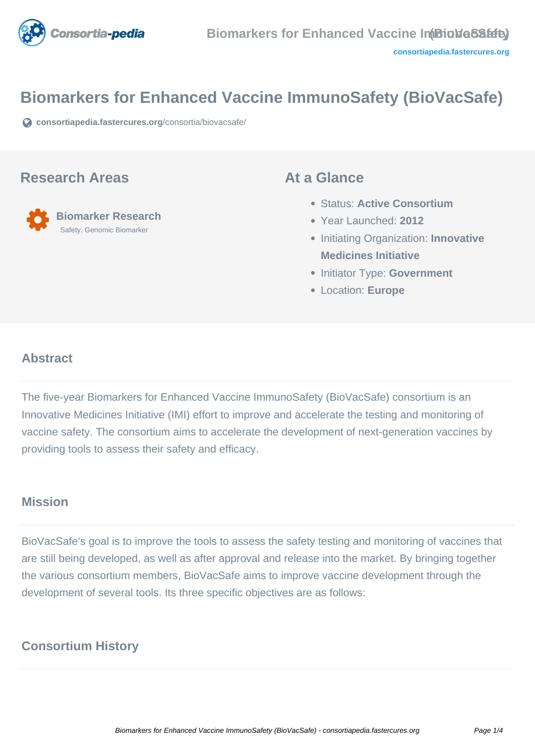

# **Biomarkers for Enhanced Vaccine ImmunoSafety (BioVacSafe)**

**[consortiapedia.fastercures.org](https://consortiapedia.fastercures.org/consortia/biovacsafe/)**[/consortia/biovacsafe/](https://consortiapedia.fastercures.org/consortia/biovacsafe/)

#### **Research Areas**

 **Biomarker Research** Safety, Genomic Biomarker

#### **At a Glance**

- Status: **Active Consortium**
- Year Launched: **2012**
- **Initiating Organization: Innovative Medicines Initiative**
- **Initiator Type: Government**
- Location: **Europe**

#### $\overline{a}$ **Abstract**

The five-year Biomarkers for Enhanced Vaccine ImmunoSafety (BioVacSafe) consortium is an Innovative Medicines Initiative (IMI) effort to improve and accelerate the testing and monitoring of vaccine safety. The consortium aims to accelerate the development of next-generation vaccines by providing tools to assess their safety and efficacy.

# **Mission**

BioVacSafe's goal is to improve the tools to assess the safety testing and monitoring of vaccines that are still being developed, as well as after approval and release into the market. By bringing together the various consortium members, BioVacSafe aims to improve vaccine development through the development of several tools. Its three specific objectives are as follows:

# **Consortium History**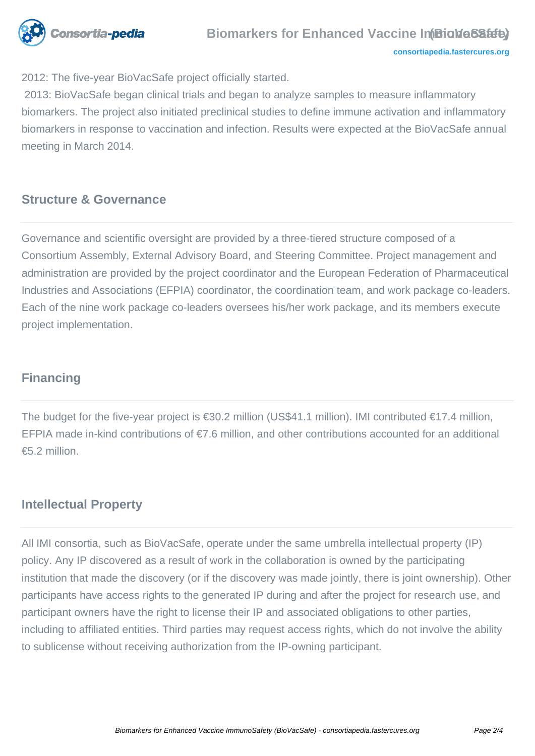

2012: The five-year BioVacSafe project officially started.

 2013: BioVacSafe began clinical trials and began to analyze samples to measure inflammatory biomarkers. The project also initiated preclinical studies to define immune activation and inflammatory biomarkers in response to vaccination and infection. Results were expected at the BioVacSafe annual meeting in March 2014.

#### **Structure & Governance**

Governance and scientific oversight are provided by a three-tiered structure composed of a Consortium Assembly, External Advisory Board, and Steering Committee. Project management and administration are provided by the project coordinator and the European Federation of Pharmaceutical Industries and Associations (EFPIA) coordinator, the coordination team, and work package co-leaders. Each of the nine work package co-leaders oversees his/her work package, and its members execute project implementation.

## **Financing**

The budget for the five-year project is €30.2 million (US\$41.1 million). IMI contributed €17.4 million, EFPIA made in-kind contributions of €7.6 million, and other contributions accounted for an additional €5.2 million.

## **Intellectual Property**

All IMI consortia, such as BioVacSafe, operate under the same umbrella intellectual property (IP) policy. Any IP discovered as a result of work in the collaboration is owned by the participating institution that made the discovery (or if the discovery was made jointly, there is joint ownership). Other participants have access rights to the generated IP during and after the project for research use, and participant owners have the right to license their IP and associated obligations to other parties, including to affiliated entities. Third parties may request access rights, which do not involve the ability to sublicense without receiving authorization from the IP-owning participant.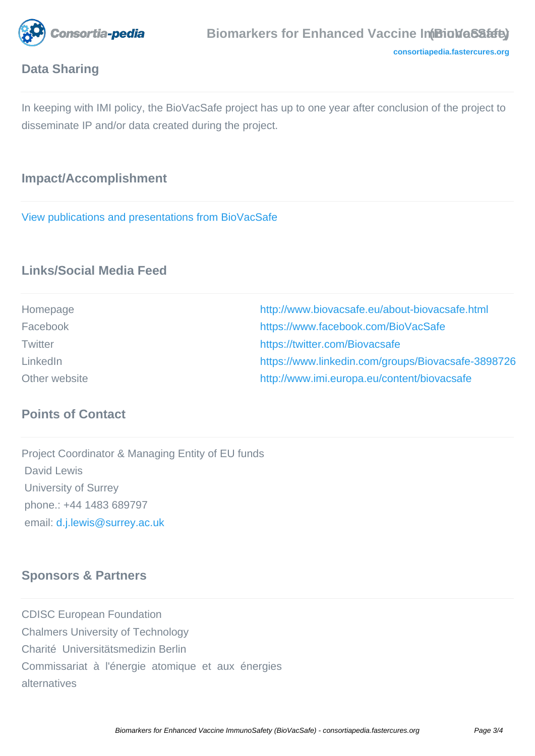

# **Data Sharing**

In keeping with IMI policy, the BioVacSafe project has up to one year after conclusion of the project to disseminate IP and/or data created during the project.

# **Impact/Accomplishment**

[View publications and presentations from BioVacSafe](http://www.biovacsafe.eu/publications)

# **Links/Social Media Feed**

| Homepage       | http://www.biovacsafe.eu/about-biovacsafe.html     |
|----------------|----------------------------------------------------|
| Facebook       | https://www.facebook.com/BioVacSafe                |
| <b>Twitter</b> | https://twitter.com/Biovacsafe                     |
| LinkedIn       | https://www.linkedin.com/groups/Biovacsafe-3898726 |
| Other website  | http://www.imi.europa.eu/content/biovacsafe        |

# **Points of Contact**

Project Coordinator & Managing Entity of EU funds David Lewis University of Surrey phone.: +44 1483 689797 email: [d.j.lewis@surrey.ac.uk](mailto:d.j.lewis@surrey.ac.uk)

# **Sponsors & Partners**

CDISC European Foundation Chalmers University of Technology Charité Universitätsmedizin Berlin Commissariat à l'énergie atomique et aux énergies alternatives